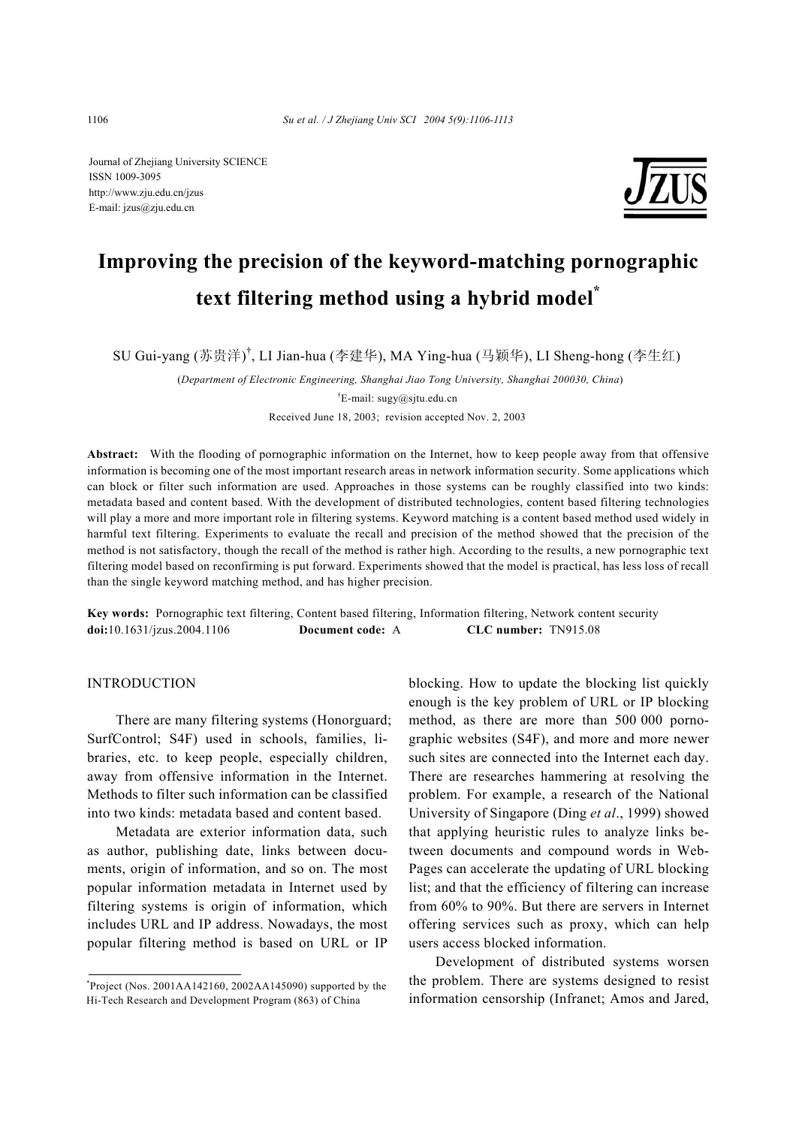Journal of Zhejiang University SCIENCE ISSN 1009-3095 http://www.zju.edu.cn/jzus E-mail: jzus@zju.edu.cn



# **Improving the precision of the keyword-matching pornographic text filtering method using a hybrid model\***

SU Gui-yang (苏贵洋)<sup>†</sup>, LI Jian-hua (李建华), MA Ying-hua (马颖华), LI Sheng-hong (李生红)

(*Department of Electronic Engineering, Shanghai Jiao Tong University, Shanghai 200030, China*) † E-mail: sugy@sjtu.edu.cn Received June 18, 2003; revision accepted Nov. 2, 2003

**Abstract:** With the flooding of pornographic information on the Internet, how to keep people away from that offensive information is becoming one of the most important research areas in network information security. Some applications which can block or filter such information are used. Approaches in those systems can be roughly classified into two kinds: metadata based and content based. With the development of distributed technologies, content based filtering technologies will play a more and more important role in filtering systems. Keyword matching is a content based method used widely in harmful text filtering. Experiments to evaluate the recall and precision of the method showed that the precision of the method is not satisfactory, though the recall of the method is rather high. According to the results, a new pornographic text filtering model based on reconfirming is put forward. Experiments showed that the model is practical, has less loss of recall than the single keyword matching method, and has higher precision.

**Key words:** Pornographic text filtering, Content based filtering, Information filtering, Network content security **doi:**10.1631/jzus.2004.1106 **Document code:** A **CLC number:** TN915.08

# INTRODUCTION

There are many filtering systems (Honorguard; SurfControl; S4F) used in schools, families, libraries, etc. to keep people, especially children, away from offensive information in the Internet. Methods to filter such information can be classified into two kinds: metadata based and content based.

Metadata are exterior information data, such as author, publishing date, links between documents, origin of information, and so on. The most popular information metadata in Internet used by filtering systems is origin of information, which includes URL and IP address. Nowadays, the most popular filtering method is based on URL or IP

blocking. How to update the blocking list quickly enough is the key problem of URL or IP blocking method, as there are more than 500 000 pornographic websites (S4F), and more and more newer such sites are connected into the Internet each day. There are researches hammering at resolving the problem. For example, a research of the National University of Singapore (Ding *et al*., 1999) showed that applying heuristic rules to analyze links between documents and compound words in Web-Pages can accelerate the updating of URL blocking list; and that the efficiency of filtering can increase from 60% to 90%. But there are servers in Internet offering services such as proxy, which can help users access blocked information.

Development of distributed systems worsen the problem. There are systems designed to resist information censorship (Infranet; Amos and Jared,

<sup>\*</sup> Project (Nos. 2001AA142160, 2002AA145090) supported by the Hi-Tech Research and Development Program (863) of China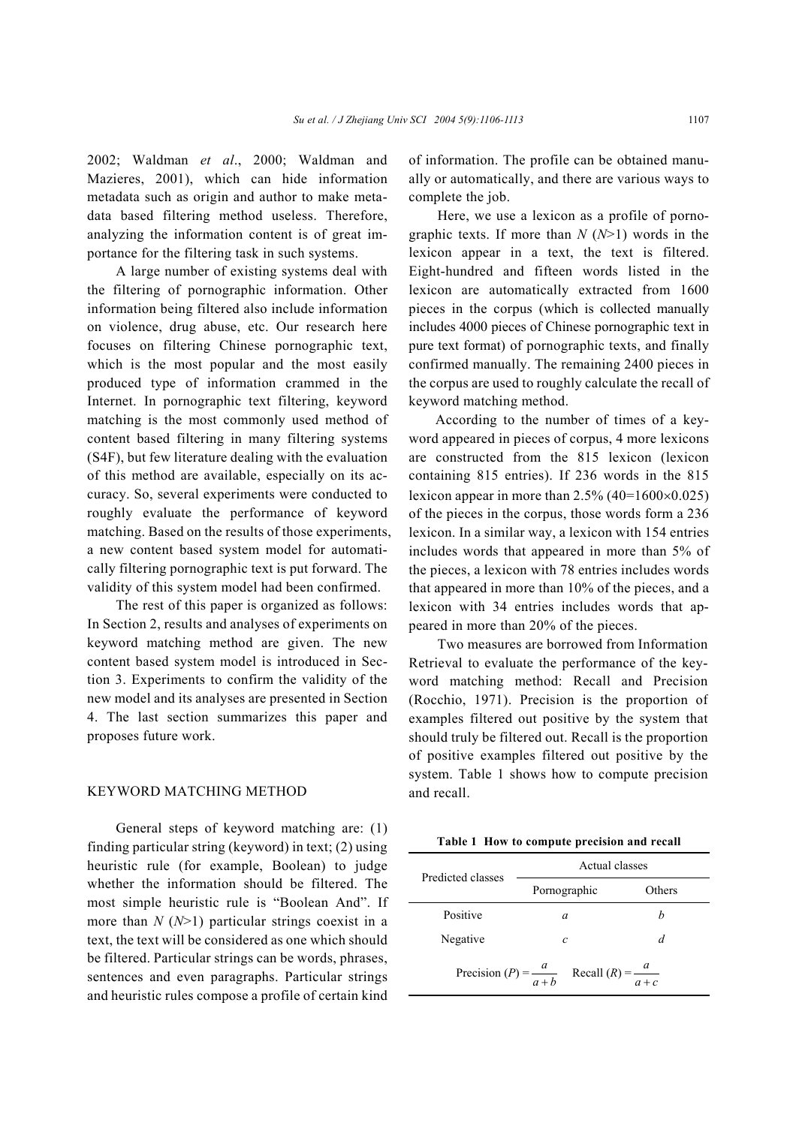2002; Waldman *et al*., 2000; Waldman and Mazieres, 2001), which can hide information metadata such as origin and author to make metadata based filtering method useless. Therefore, analyzing the information content is of great importance for the filtering task in such systems.

A large number of existing systems deal with the filtering of pornographic information. Other information being filtered also include information on violence, drug abuse, etc. Our research here focuses on filtering Chinese pornographic text, which is the most popular and the most easily produced type of information crammed in the Internet. In pornographic text filtering, keyword matching is the most commonly used method of content based filtering in many filtering systems (S4F), but few literature dealing with the evaluation of this method are available, especially on its accuracy. So, several experiments were conducted to roughly evaluate the performance of keyword matching. Based on the results of those experiments, a new content based system model for automatically filtering pornographic text is put forward. The validity of this system model had been confirmed.

The rest of this paper is organized as follows: In Section 2, results and analyses of experiments on keyword matching method are given. The new content based system model is introduced in Section 3. Experiments to confirm the validity of the new model and its analyses are presented in Section 4. The last section summarizes this paper and proposes future work.

## KEYWORD MATCHING METHOD

General steps of keyword matching are: (1) finding particular string (keyword) in text; (2) using heuristic rule (for example, Boolean) to judge whether the information should be filtered. The most simple heuristic rule is "Boolean And". If more than *N* (*N*>1) particular strings coexist in a text, the text will be considered as one which should be filtered. Particular strings can be words, phrases, sentences and even paragraphs. Particular strings and heuristic rules compose a profile of certain kind of information. The profile can be obtained manually or automatically, and there are various ways to complete the job.

Here, we use a lexicon as a profile of pornographic texts. If more than *N* (*N*>1) words in the lexicon appear in a text, the text is filtered. Eight-hundred and fifteen words listed in the lexicon are automatically extracted from 1600 pieces in the corpus (which is collected manually includes 4000 pieces of Chinese pornographic text in pure text format) of pornographic texts, and finally confirmed manually. The remaining 2400 pieces in the corpus are used to roughly calculate the recall of keyword matching method.

According to the number of times of a keyword appeared in pieces of corpus, 4 more lexicons are constructed from the 815 lexicon (lexicon containing 815 entries). If 236 words in the 815 lexicon appear in more than  $2.5\%$  (40=1600 $\times$ 0.025) of the pieces in the corpus, those words form a 236 lexicon. In a similar way, a lexicon with 154 entries includes words that appeared in more than 5% of the pieces, a lexicon with 78 entries includes words that appeared in more than 10% of the pieces, and a lexicon with 34 entries includes words that appeared in more than 20% of the pieces.

Two measures are borrowed from Information Retrieval to evaluate the performance of the keyword matching method: Recall and Precision (Rocchio, 1971). Precision is the proportion of examples filtered out positive by the system that should truly be filtered out. Recall is the proportion of positive examples filtered out positive by the system. Table 1 shows how to compute precision and recall.

|  | Table 1 How to compute precision and recall |  |  |
|--|---------------------------------------------|--|--|
|--|---------------------------------------------|--|--|

| Predicted classes                                               | Actual classes |        |  |  |
|-----------------------------------------------------------------|----------------|--------|--|--|
|                                                                 | Pornographic   | Others |  |  |
| Positive                                                        | a              | h      |  |  |
| Negative                                                        | C              | d      |  |  |
| Precision (P) = $\frac{a}{a+b}$<br>Recall $(R) = \frac{a}{a+c}$ |                |        |  |  |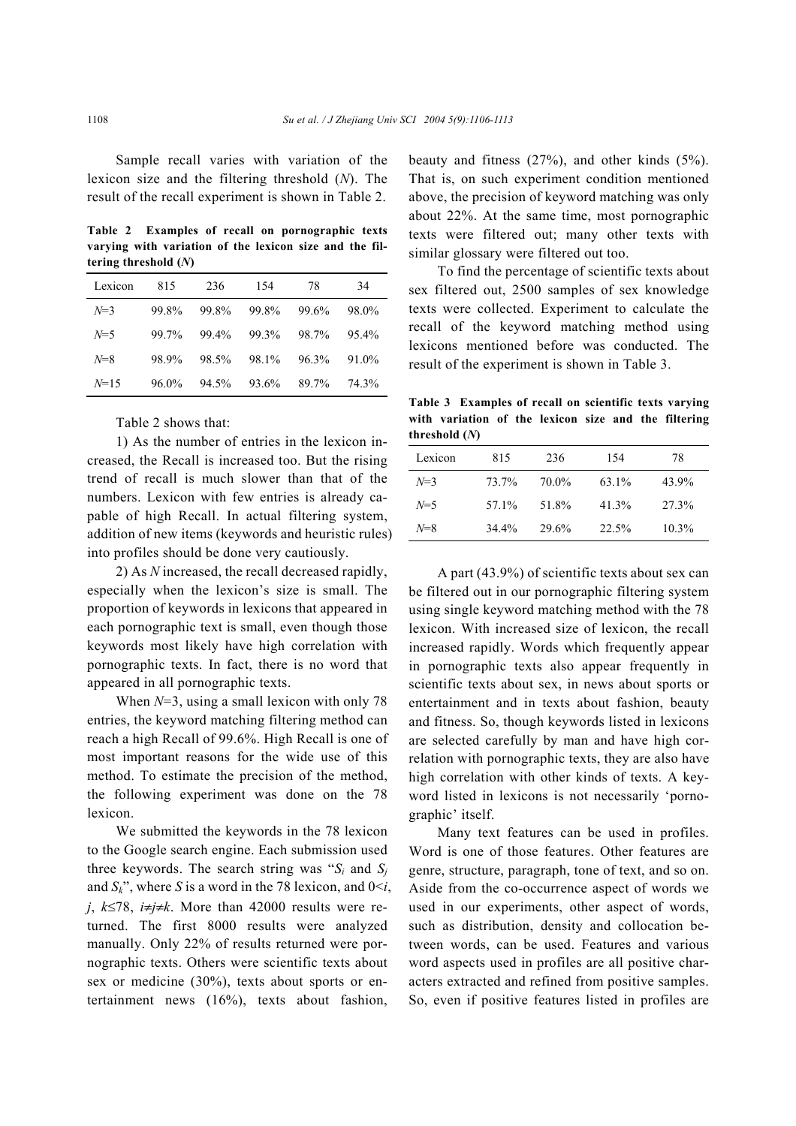Sample recall varies with variation of the lexicon size and the filtering threshold (*N*). The result of the recall experiment is shown in Table 2.

**Table 2 Examples of recall on pornographic texts varying with variation of the lexicon size and the filtering threshold (***N***)** 

| Lexicon | 815      | 236   | 154   | 78    | 34       |
|---------|----------|-------|-------|-------|----------|
| $N=3$   | 99.8%    | 99.8% | 99.8% | 99.6% | 98.0%    |
| $N=5$   | 99 7%    | 99.4% | 99.3% | 98.7% | $95.4\%$ |
| $N=8$   | 98.9%    | 98.5% | 98.1% | 96.3% | $91.0\%$ |
| $N=15$  | $96.0\%$ | 94.5% | 93.6% | 89 7% | 74.3%    |

Table 2 shows that:

1) As the number of entries in the lexicon increased, the Recall is increased too. But the rising trend of recall is much slower than that of the numbers. Lexicon with few entries is already capable of high Recall. In actual filtering system, addition of new items (keywords and heuristic rules) into profiles should be done very cautiously.

2) As *N* increased, the recall decreased rapidly, especially when the lexicon's size is small. The proportion of keywords in lexicons that appeared in each pornographic text is small, even though those keywords most likely have high correlation with pornographic texts. In fact, there is no word that appeared in all pornographic texts.

When  $N=3$ , using a small lexicon with only 78 entries, the keyword matching filtering method can reach a high Recall of 99.6%. High Recall is one of most important reasons for the wide use of this method. To estimate the precision of the method, the following experiment was done on the 78 lexicon.

We submitted the keywords in the 78 lexicon to the Google search engine. Each submission used three keywords. The search string was " $S_i$  and  $S_j$ and  $S_k$ <sup>"</sup>, where *S* is a word in the 78 lexicon, and  $0 \le i$ , *j*, *k*≤78, *i*≠*j*≠*k*. More than 42000 results were returned. The first 8000 results were analyzed manually. Only 22% of results returned were pornographic texts. Others were scientific texts about sex or medicine (30%), texts about sports or entertainment news (16%), texts about fashion,

beauty and fitness (27%), and other kinds (5%). That is, on such experiment condition mentioned above, the precision of keyword matching was only about 22%. At the same time, most pornographic texts were filtered out; many other texts with similar glossary were filtered out too.

To find the percentage of scientific texts about sex filtered out, 2500 samples of sex knowledge texts were collected. Experiment to calculate the recall of the keyword matching method using lexicons mentioned before was conducted. The result of the experiment is shown in Table 3.

**Table 3 Examples of recall on scientific texts varying with variation of the lexicon size and the filtering threshold (***N***)** 

| Lexicon | 815   | 236   | 154   | 78    |
|---------|-------|-------|-------|-------|
| $N=3$   | 73.7% | 70.0% | 63.1% | 43.9% |
| $N=5$   | 57.1% | 51.8% | 41.3% | 27.3% |
| $N=8$   | 34.4% | 29.6% | 22.5% | 10.3% |

A part (43.9%) of scientific texts about sex can be filtered out in our pornographic filtering system using single keyword matching method with the 78 lexicon. With increased size of lexicon, the recall increased rapidly. Words which frequently appear in pornographic texts also appear frequently in scientific texts about sex, in news about sports or entertainment and in texts about fashion, beauty and fitness. So, though keywords listed in lexicons are selected carefully by man and have high correlation with pornographic texts, they are also have high correlation with other kinds of texts. A keyword listed in lexicons is not necessarily 'pornographic' itself.

Many text features can be used in profiles. Word is one of those features. Other features are genre, structure, paragraph, tone of text, and so on. Aside from the co-occurrence aspect of words we used in our experiments, other aspect of words, such as distribution, density and collocation between words, can be used. Features and various word aspects used in profiles are all positive characters extracted and refined from positive samples. So, even if positive features listed in profiles are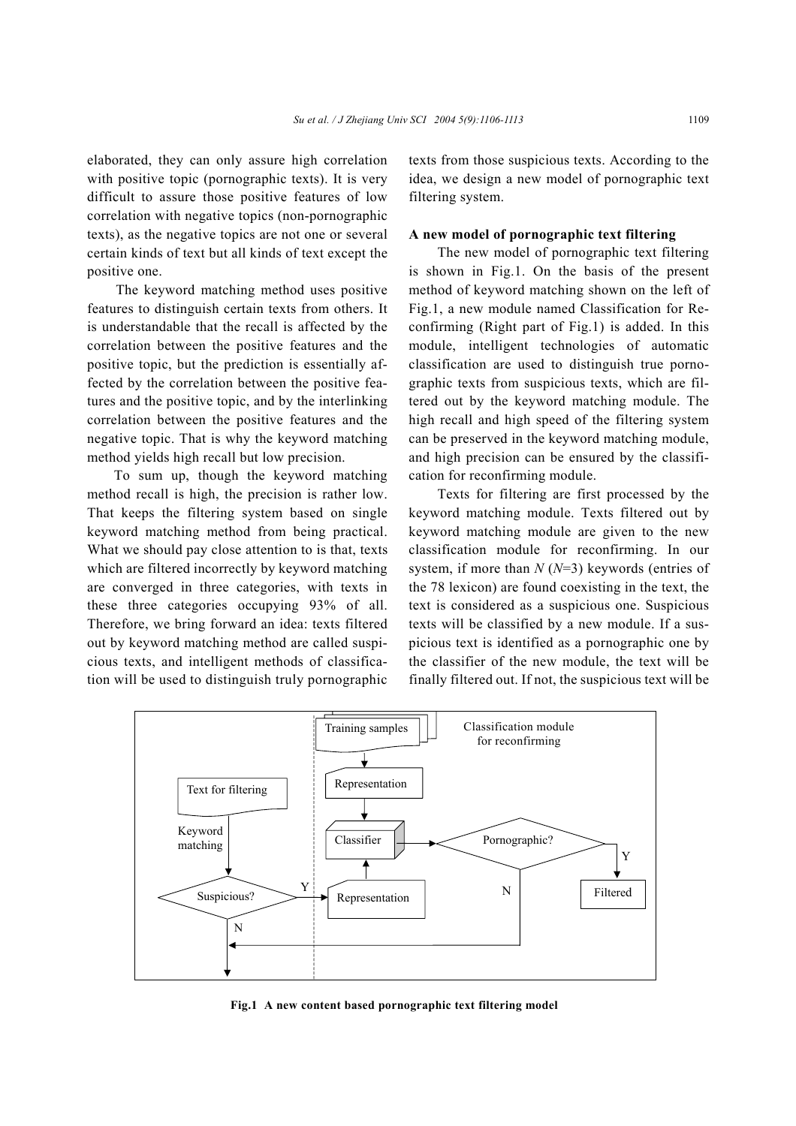elaborated, they can only assure high correlation with positive topic (pornographic texts). It is very difficult to assure those positive features of low correlation with negative topics (non-pornographic texts), as the negative topics are not one or several certain kinds of text but all kinds of text except the

positive one. The keyword matching method uses positive features to distinguish certain texts from others. It is understandable that the recall is affected by the correlation between the positive features and the positive topic, but the prediction is essentially affected by the correlation between the positive features and the positive topic, and by the interlinking correlation between the positive features and the negative topic. That is why the keyword matching method yields high recall but low precision.

To sum up, though the keyword matching method recall is high, the precision is rather low. That keeps the filtering system based on single keyword matching method from being practical. What we should pay close attention to is that, texts which are filtered incorrectly by keyword matching are converged in three categories, with texts in these three categories occupying 93% of all. Therefore, we bring forward an idea: texts filtered out by keyword matching method are called suspicious texts, and intelligent methods of classification will be used to distinguish truly pornographic

texts from those suspicious texts. According to the idea, we design a new model of pornographic text filtering system.

#### **A new model of pornographic text filtering**

The new model of pornographic text filtering is shown in Fig.1. On the basis of the present method of keyword matching shown on the left of Fig.1, a new module named Classification for Reconfirming (Right part of Fig.1) is added. In this module, intelligent technologies of automatic classification are used to distinguish true pornographic texts from suspicious texts, which are filtered out by the keyword matching module. The high recall and high speed of the filtering system can be preserved in the keyword matching module, and high precision can be ensured by the classification for reconfirming module.

Texts for filtering are first processed by the keyword matching module. Texts filtered out by keyword matching module are given to the new classification module for reconfirming. In our system, if more than *N* (*N*=3) keywords (entries of the 78 lexicon) are found coexisting in the text, the text is considered as a suspicious one. Suspicious texts will be classified by a new module. If a suspicious text is identified as a pornographic one by the classifier of the new module, the text will be finally filtered out. If not, the suspicious text will be



**Fig.1 A new content based pornographic text filtering model**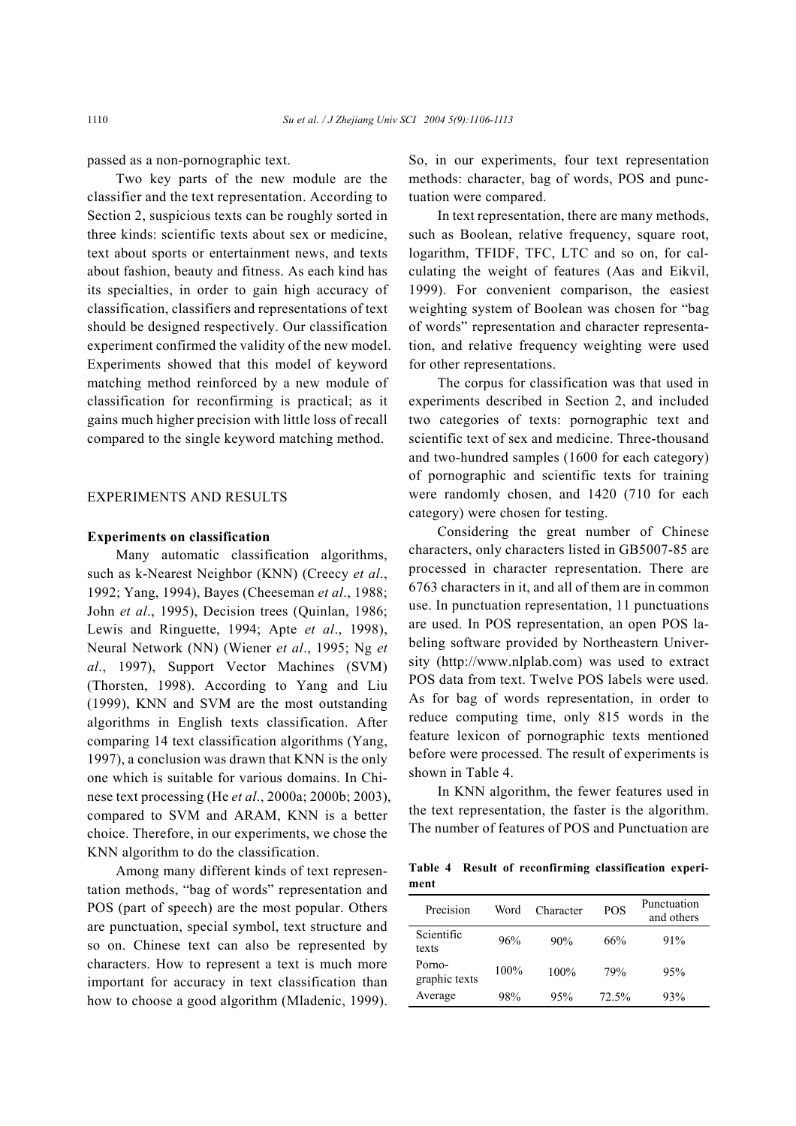passed as a non-pornographic text.

Two key parts of the new module are the classifier and the text representation. According to Section 2, suspicious texts can be roughly sorted in three kinds: scientific texts about sex or medicine, text about sports or entertainment news, and texts about fashion, beauty and fitness. As each kind has its specialties, in order to gain high accuracy of classification, classifiers and representations of text should be designed respectively. Our classification experiment confirmed the validity of the new model. Experiments showed that this model of keyword matching method reinforced by a new module of classification for reconfirming is practical; as it gains much higher precision with little loss of recall compared to the single keyword matching method.

# EXPERIMENTS AND RESULTS

# **Experiments on classification**

Many automatic classification algorithms, such as k-Nearest Neighbor (KNN) (Creecy *et al*., 1992; Yang, 1994), Bayes (Cheeseman *et al*., 1988; John *et al*., 1995), Decision trees (Quinlan, 1986; Lewis and Ringuette, 1994; Apte *et al*., 1998), Neural Network (NN) (Wiener *et al*., 1995; Ng *et al*., 1997), Support Vector Machines (SVM) (Thorsten, 1998). According to Yang and Liu (1999), KNN and SVM are the most outstanding algorithms in English texts classification. After comparing 14 text classification algorithms (Yang, 1997), a conclusion was drawn that KNN is the only one which is suitable for various domains. In Chinese text processing (He *et al*., 2000a; 2000b; 2003), compared to SVM and ARAM, KNN is a better choice. Therefore, in our experiments, we chose the KNN algorithm to do the classification.

Among many different kinds of text representation methods, "bag of words" representation and POS (part of speech) are the most popular. Others are punctuation, special symbol, text structure and so on. Chinese text can also be represented by characters. How to represent a text is much more important for accuracy in text classification than how to choose a good algorithm (Mladenic, 1999). So, in our experiments, four text representation methods: character, bag of words, POS and punctuation were compared.

In text representation, there are many methods, such as Boolean, relative frequency, square root, logarithm, TFIDF, TFC, LTC and so on, for calculating the weight of features (Aas and Eikvil, 1999). For convenient comparison, the easiest weighting system of Boolean was chosen for "bag of words" representation and character representation, and relative frequency weighting were used for other representations.

The corpus for classification was that used in experiments described in Section 2, and included two categories of texts: pornographic text and scientific text of sex and medicine. Three-thousand and two-hundred samples (1600 for each category) of pornographic and scientific texts for training were randomly chosen, and 1420 (710 for each category) were chosen for testing.

Considering the great number of Chinese characters, only characters listed in GB5007-85 are processed in character representation. There are 6763 characters in it, and all of them are in common use. In punctuation representation, 11 punctuations are used. In POS representation, an open POS labeling software provided by Northeastern University (http://www.nlplab.com) was used to extract POS data from text. Twelve POS labels were used. As for bag of words representation, in order to reduce computing time, only 815 words in the feature lexicon of pornographic texts mentioned before were processed. The result of experiments is shown in Table 4.

In KNN algorithm, the fewer features used in the text representation, the faster is the algorithm. The number of features of POS and Punctuation are

**Table 4 Result of reconfirming classification experiment** 

| Precision               | Word | Character | <b>POS</b> | Punctuation<br>and others |
|-------------------------|------|-----------|------------|---------------------------|
| Scientific<br>texts     | 96%  | 90%       | 66%        | 91%                       |
| Porno-<br>graphic texts | 100% | 100%      | 79%        | 95%                       |
| Average                 | 98%  | 95%       | 72.5%      | 93%                       |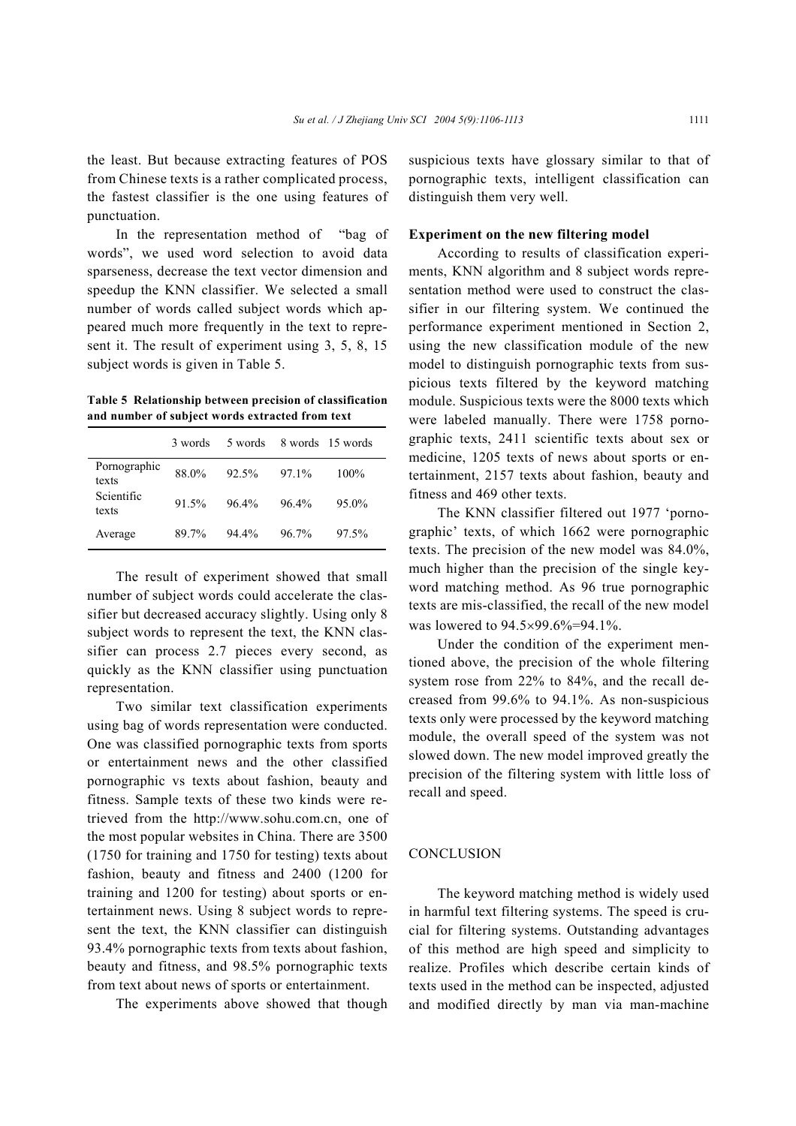the least. But because extracting features of POS from Chinese texts is a rather complicated process, the fastest classifier is the one using features of punctuation.

In the representation method of "bag of words", we used word selection to avoid data sparseness, decrease the text vector dimension and speedup the KNN classifier. We selected a small number of words called subject words which appeared much more frequently in the text to represent it. The result of experiment using 3, 5, 8, 15 subject words is given in Table 5.

**Table 5 Relationship between precision of classification and number of subject words extracted from text** 

|                       | 3 words | 5 words  |          | 8 words 15 words |
|-----------------------|---------|----------|----------|------------------|
| Pornographic<br>texts | 88.0%   | 92.5%    | 97.1%    | $100\%$          |
| Scientific<br>texts   | 91.5%   | $96.4\%$ | $96.4\%$ | 95.0%            |
| Average               | 89 7%   | $94.4\%$ | $96.7\%$ | 97.5%            |

The result of experiment showed that small number of subject words could accelerate the classifier but decreased accuracy slightly. Using only 8 subject words to represent the text, the KNN classifier can process 2.7 pieces every second, as quickly as the KNN classifier using punctuation representation.

Two similar text classification experiments using bag of words representation were conducted. One was classified pornographic texts from sports or entertainment news and the other classified pornographic vs texts about fashion, beauty and fitness. Sample texts of these two kinds were retrieved from the http://www.sohu.com.cn, one of the most popular websites in China. There are 3500 (1750 for training and 1750 for testing) texts about fashion, beauty and fitness and 2400 (1200 for training and 1200 for testing) about sports or entertainment news. Using 8 subject words to represent the text, the KNN classifier can distinguish 93.4% pornographic texts from texts about fashion, beauty and fitness, and 98.5% pornographic texts from text about news of sports or entertainment.

The experiments above showed that though

suspicious texts have glossary similar to that of pornographic texts, intelligent classification can distinguish them very well.

# **Experiment on the new filtering model**

According to results of classification experiments, KNN algorithm and 8 subject words representation method were used to construct the classifier in our filtering system. We continued the performance experiment mentioned in Section 2, using the new classification module of the new model to distinguish pornographic texts from suspicious texts filtered by the keyword matching module. Suspicious texts were the 8000 texts which were labeled manually. There were 1758 pornographic texts, 2411 scientific texts about sex or medicine, 1205 texts of news about sports or entertainment, 2157 texts about fashion, beauty and fitness and 469 other texts.

The KNN classifier filtered out 1977 'pornographic' texts, of which 1662 were pornographic texts. The precision of the new model was 84.0%, much higher than the precision of the single keyword matching method. As 96 true pornographic texts are mis-classified, the recall of the new model was lowered to 94.5×99.6%=94.1%.

Under the condition of the experiment mentioned above, the precision of the whole filtering system rose from 22% to 84%, and the recall decreased from 99.6% to 94.1%. As non-suspicious texts only were processed by the keyword matching module, the overall speed of the system was not slowed down. The new model improved greatly the precision of the filtering system with little loss of recall and speed.

# **CONCLUSION**

The keyword matching method is widely used in harmful text filtering systems. The speed is crucial for filtering systems. Outstanding advantages of this method are high speed and simplicity to realize. Profiles which describe certain kinds of texts used in the method can be inspected, adjusted and modified directly by man via man-machine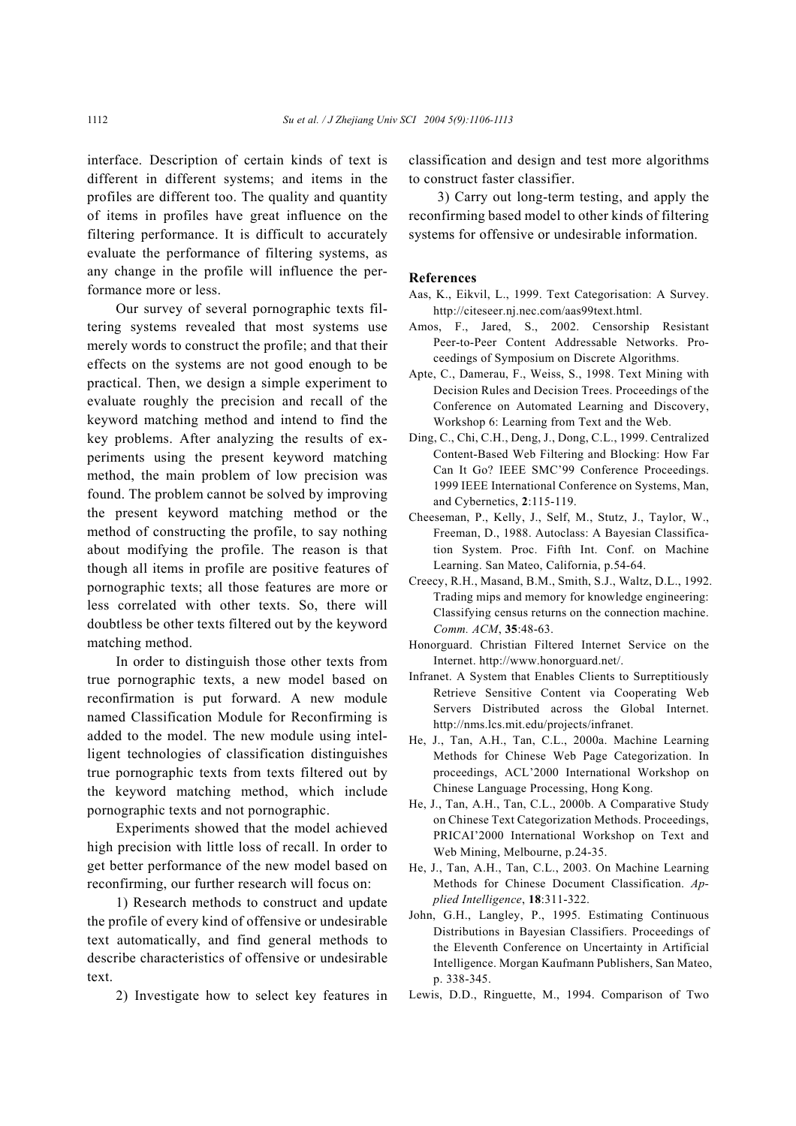interface. Description of certain kinds of text is different in different systems; and items in the profiles are different too. The quality and quantity of items in profiles have great influence on the filtering performance. It is difficult to accurately evaluate the performance of filtering systems, as any change in the profile will influence the performance more or less.

Our survey of several pornographic texts filtering systems revealed that most systems use merely words to construct the profile; and that their effects on the systems are not good enough to be practical. Then, we design a simple experiment to evaluate roughly the precision and recall of the keyword matching method and intend to find the key problems. After analyzing the results of experiments using the present keyword matching method, the main problem of low precision was found. The problem cannot be solved by improving the present keyword matching method or the method of constructing the profile, to say nothing about modifying the profile. The reason is that though all items in profile are positive features of pornographic texts; all those features are more or less correlated with other texts. So, there will doubtless be other texts filtered out by the keyword matching method.

In order to distinguish those other texts from true pornographic texts, a new model based on reconfirmation is put forward. A new module named Classification Module for Reconfirming is added to the model. The new module using intelligent technologies of classification distinguishes true pornographic texts from texts filtered out by the keyword matching method, which include pornographic texts and not pornographic.

Experiments showed that the model achieved high precision with little loss of recall. In order to get better performance of the new model based on reconfirming, our further research will focus on:

1) Research methods to construct and update the profile of every kind of offensive or undesirable text automatically, and find general methods to describe characteristics of offensive or undesirable text.

2) Investigate how to select key features in

classification and design and test more algorithms to construct faster classifier.

3) Carry out long-term testing, and apply the reconfirming based model to other kinds of filtering systems for offensive or undesirable information.

## **References**

- Aas, K., Eikvil, L., 1999. Text Categorisation: A Survey. http://citeseer.nj.nec.com/aas99text.html.
- Amos, F., Jared, S., 2002. Censorship Resistant Peer-to-Peer Content Addressable Networks. Proceedings of Symposium on Discrete Algorithms.
- Apte, C., Damerau, F., Weiss, S., 1998. Text Mining with Decision Rules and Decision Trees. Proceedings of the Conference on Automated Learning and Discovery, Workshop 6: Learning from Text and the Web.
- Ding, C., Chi, C.H., Deng, J., Dong, C.L., 1999. Centralized Content-Based Web Filtering and Blocking: How Far Can It Go? IEEE SMC'99 Conference Proceedings. 1999 IEEE International Conference on Systems, Man, and Cybernetics, **2**:115-119.
- Cheeseman, P., Kelly, J., Self, M., Stutz, J., Taylor, W., Freeman, D., 1988. Autoclass: A Bayesian Classification System. Proc. Fifth Int. Conf. on Machine Learning. San Mateo, California, p.54-64.
- Creecy, R.H., Masand, B.M., Smith, S.J., Waltz, D.L., 1992. Trading mips and memory for knowledge engineering: Classifying census returns on the connection machine. *Comm. ACM*, **35**:48-63.
- Honorguard. Christian Filtered Internet Service on the Internet. http://www.honorguard.net/.
- Infranet. A System that Enables Clients to Surreptitiously Retrieve Sensitive Content via Cooperating Web Servers Distributed across the Global Internet. http://nms.lcs.mit.edu/projects/infranet.
- He, J., Tan, A.H., Tan, C.L., 2000a. Machine Learning Methods for Chinese Web Page Categorization. In proceedings, ACL'2000 International Workshop on Chinese Language Processing, Hong Kong.
- He, J., Tan, A.H., Tan, C.L., 2000b. A Comparative Study on Chinese Text Categorization Methods. Proceedings, PRICAI'2000 International Workshop on Text and Web Mining, Melbourne, p.24-35.
- He, J., Tan, A.H., Tan, C.L., 2003. On Machine Learning Methods for Chinese Document Classification. *Applied Intelligence*, **18**:311-322.
- John, G.H., Langley, P., 1995. Estimating Continuous Distributions in Bayesian Classifiers. Proceedings of the Eleventh Conference on Uncertainty in Artificial Intelligence. Morgan Kaufmann Publishers, San Mateo, p. 338-345.
- Lewis, D.D., Ringuette, M., 1994. Comparison of Two